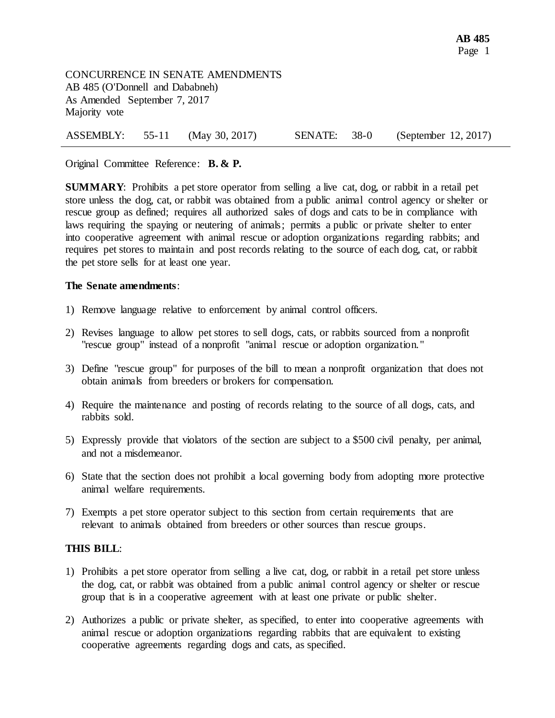CONCURRENCE IN SENATE AMENDMENTS AB 485 (O'Donnell and Dababneh) As Amended September 7, 2017 Majority vote

|  |  | ASSEMBLY: 55-11 (May 30, 2017) | SENATE: 38-0 |  | (September 12, 2017) |
|--|--|--------------------------------|--------------|--|----------------------|
|--|--|--------------------------------|--------------|--|----------------------|

## Original Committee Reference: **B. & P.**

**SUMMARY**: Prohibits a pet store operator from selling a live cat, dog, or rabbit in a retail pet store unless the dog, cat, or rabbit was obtained from a public animal control agency or shelter or rescue group as defined; requires all authorized sales of dogs and cats to be in compliance with laws requiring the spaying or neutering of animals; permits a public or private shelter to enter into cooperative agreement with animal rescue or adoption organizations regarding rabbits; and requires pet stores to maintain and post records relating to the source of each dog, cat, or rabbit the pet store sells for at least one year.

## **The Senate amendments**:

- 1) Remove language relative to enforcement by animal control officers.
- 2) Revises language to allow pet stores to sell dogs, cats, or rabbits sourced from a nonprofit "rescue group" instead of a nonprofit "animal rescue or adoption organization."
- 3) Define "rescue group" for purposes of the bill to mean a nonprofit organization that does not obtain animals from breeders or brokers for compensation.
- 4) Require the maintenance and posting of records relating to the source of all dogs, cats, and rabbits sold.
- 5) Expressly provide that violators of the section are subject to a \$500 civil penalty, per animal, and not a misdemeanor.
- 6) State that the section does not prohibit a local governing body from adopting more protective animal welfare requirements.
- 7) Exempts a pet store operator subject to this section from certain requirements that are relevant to animals obtained from breeders or other sources than rescue groups.

## **THIS BILL**:

- 1) Prohibits a pet store operator from selling a live cat, dog, or rabbit in a retail pet store unless the dog, cat, or rabbit was obtained from a public animal control agency or shelter or rescue group that is in a cooperative agreement with at least one private or public shelter.
- 2) Authorizes a public or private shelter, as specified, to enter into cooperative agreements with animal rescue or adoption organizations regarding rabbits that are equivalent to existing cooperative agreements regarding dogs and cats, as specified.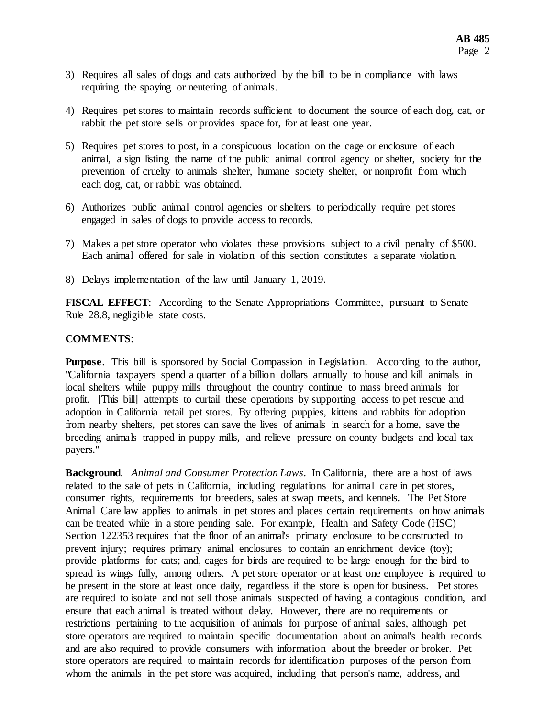- 3) Requires all sales of dogs and cats authorized by the bill to be in compliance with laws requiring the spaying or neutering of animals.
- 4) Requires pet stores to maintain records sufficient to document the source of each dog, cat, or rabbit the pet store sells or provides space for, for at least one year.
- 5) Requires pet stores to post, in a conspicuous location on the cage or enclosure of each animal, a sign listing the name of the public animal control agency or shelter, society for the prevention of cruelty to animals shelter, humane society shelter, or nonprofit from which each dog, cat, or rabbit was obtained.
- 6) Authorizes public animal control agencies or shelters to periodically require pet stores engaged in sales of dogs to provide access to records.
- 7) Makes a pet store operator who violates these provisions subject to a civil penalty of \$500. Each animal offered for sale in violation of this section constitutes a separate violation.
- 8) Delays implementation of the law until January 1, 2019.

**FISCAL EFFECT**: According to the Senate Appropriations Committee, pursuant to Senate Rule 28.8, negligible state costs.

## **COMMENTS**:

**Purpose.** This bill is sponsored by Social Compassion in Legislation. According to the author, "California taxpayers spend a quarter of a billion dollars annually to house and kill animals in local shelters while puppy mills throughout the country continue to mass breed animals for profit. [This bill] attempts to curtail these operations by supporting access to pet rescue and adoption in California retail pet stores. By offering puppies, kittens and rabbits for adoption from nearby shelters, pet stores can save the lives of animals in search for a home, save the breeding animals trapped in puppy mills, and relieve pressure on county budgets and local tax payers."

**Background**. *Animal and Consumer Protection Laws*. In California, there are a host of laws related to the sale of pets in California, including regulations for animal care in pet stores, consumer rights, requirements for breeders, sales at swap meets, and kennels. The Pet Store Animal Care law applies to animals in pet stores and places certain requirements on how animals can be treated while in a store pending sale. For example, Health and Safety Code (HSC) Section 122353 requires that the floor of an animal's primary enclosure to be constructed to prevent injury; requires primary animal enclosures to contain an enrichment device (toy); provide platforms for cats; and, cages for birds are required to be large enough for the bird to spread its wings fully, among others. A pet store operator or at least one employee is required to be present in the store at least once daily, regardless if the store is open for business. Pet stores are required to isolate and not sell those animals suspected of having a contagious condition, and ensure that each animal is treated without delay. However, there are no requirements or restrictions pertaining to the acquisition of animals for purpose of animal sales, although pet store operators are required to maintain specific documentation about an animal's health records and are also required to provide consumers with information about the breeder or broker. Pet store operators are required to maintain records for identification purposes of the person from whom the animals in the pet store was acquired, including that person's name, address, and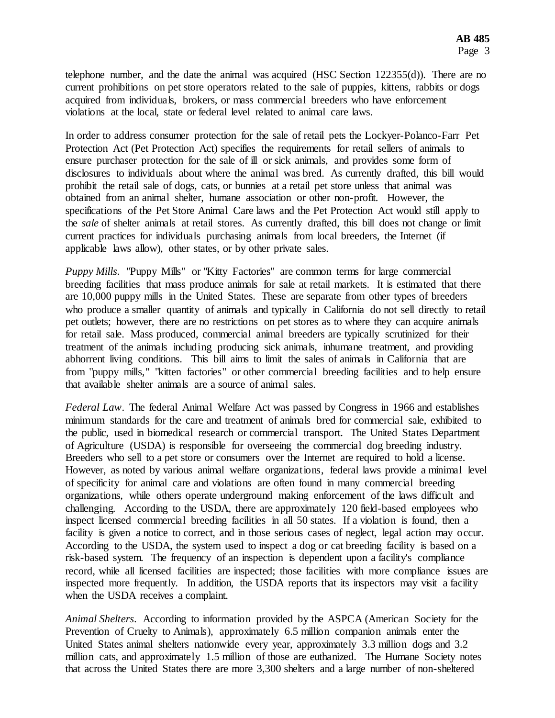telephone number, and the date the animal was acquired (HSC Section 122355(d)). There are no current prohibitions on pet store operators related to the sale of puppies, kittens, rabbits or dogs acquired from individuals, brokers, or mass commercial breeders who have enforcement violations at the local, state or federal level related to animal care laws.

In order to address consumer protection for the sale of retail pets the Lockyer-Polanco-Farr Pet Protection Act (Pet Protection Act) specifies the requirements for retail sellers of animals to ensure purchaser protection for the sale of ill or sick animals, and provides some form of disclosures to individuals about where the animal was bred. As currently drafted, this bill would prohibit the retail sale of dogs, cats, or bunnies at a retail pet store unless that animal was obtained from an animal shelter, humane association or other non-profit. However, the specifications of the Pet Store Animal Care laws and the Pet Protection Act would still apply to the *sale* of shelter animals at retail stores. As currently drafted, this bill does not change or limit current practices for individuals purchasing animals from local breeders, the Internet (if applicable laws allow), other states, or by other private sales.

*Puppy Mills*. "Puppy Mills" or "Kitty Factories" are common terms for large commercial breeding facilities that mass produce animals for sale at retail markets. It is estimated that there are 10,000 puppy mills in the United States. These are separate from other types of breeders who produce a smaller quantity of animals and typically in California do not sell directly to retail pet outlets; however, there are no restrictions on pet stores as to where they can acquire animals for retail sale. Mass produced, commercial animal breeders are typically scrutinized for their treatment of the animals including producing sick animals, inhumane treatment, and providing abhorrent living conditions. This bill aims to limit the sales of animals in California that are from "puppy mills," "kitten factories" or other commercial breeding facilities and to help ensure that available shelter animals are a source of animal sales.

*Federal Law*. The federal Animal Welfare Act was passed by Congress in 1966 and establishes minimum standards for the care and treatment of animals bred for commercial sale, exhibited to the public, used in biomedical research or commercial transport. The United States Department of Agriculture (USDA) is responsible for overseeing the commercial dog breeding industry. Breeders who sell to a pet store or consumers over the Internet are required to hold a license. However, as noted by various animal welfare organizations, federal laws provide a minimal level of specificity for animal care and violations are often found in many commercial breeding organizations, while others operate underground making enforcement of the laws difficult and challenging. According to the USDA, there are approximately 120 field-based employees who inspect licensed commercial breeding facilities in all 50 states. If a violation is found, then a facility is given a notice to correct, and in those serious cases of neglect, legal action may occur. According to the USDA, the system used to inspect a dog or cat breeding facility is based on a risk-based system. The frequency of an inspection is dependent upon a facility's compliance record, while all licensed facilities are inspected; those facilities with more compliance issues are inspected more frequently. In addition, the USDA reports that its inspectors may visit a facility when the USDA receives a complaint.

*Animal Shelters*. According to information provided by the ASPCA (American Society for the Prevention of Cruelty to Animals), approximately 6.5 million companion animals enter the United States animal shelters nationwide every year, approximately 3.3 million dogs and 3.2 million cats, and approximately 1.5 million of those are euthanized. The Humane Society notes that across the United States there are more 3,300 shelters and a large number of non-sheltered